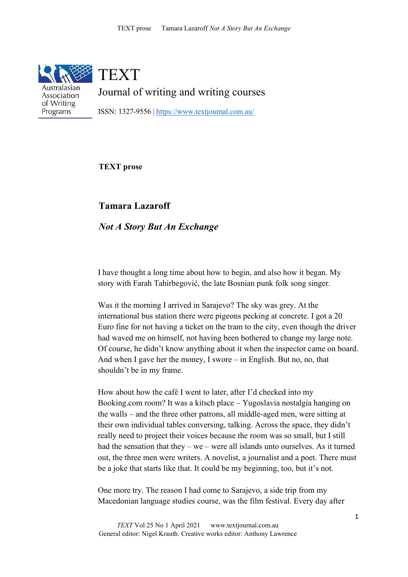

Australasian Association of Writing Programs

**TEXT** 

Journal of writing and writing courses

ISSN: 1327-9556 |<https://www.textjournal.com.au/>

## **TEXT prose**

**Tamara Lazaroff**

*Not A Story But An Exchange*

I have thought a long time about how to begin, and also how it began. My story with Farah Tahirbegović, the late Bosnian punk folk song singer.

Was it the morning I arrived in Sarajevo? The sky was grey. At the international bus station there were pigeons pecking at concrete. I got a 20 Euro fine for not having a ticket on the tram to the city, even though the driver had waved me on himself, not having been bothered to change my large note. Of course, he didn't know anything about it when the inspector came on board. And when I gave her the money, I swore – in English. But no, no, that shouldn't be in my frame.

How about how the café I went to later, after I'd checked into my Booking.com room? It was a kitsch place – Yugoslavia nostalgia hanging on the walls – and the three other patrons, all middle-aged men, were sitting at their own individual tables conversing, talking. Across the space, they didn't really need to project their voices because the room was so small, but I still had the sensation that they – we – were all islands unto ourselves. As it turned out, the three men were writers. A novelist, a journalist and a poet. There must be a joke that starts like that. It could be my beginning, too, but it's not.

One more try. The reason I had come to Sarajevo, a side trip from my Macedonian language studies course, was the film festival. Every day after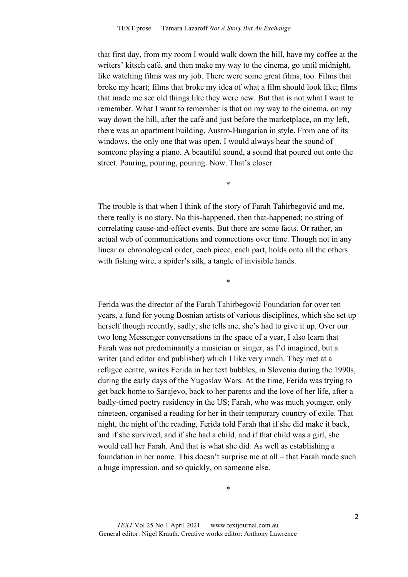that first day, from my room I would walk down the hill, have my coffee at the writers' kitsch café, and then make my way to the cinema, go until midnight, like watching films was my job. There were some great films, too. Films that broke my heart; films that broke my idea of what a film should look like; films that made me see old things like they were new. But that is not what I want to remember. What I want to remember is that on my way to the cinema, on my way down the hill, after the café and just before the marketplace, on my left, there was an apartment building, Austro-Hungarian in style. From one of its windows, the only one that was open, I would always hear the sound of someone playing a piano. A beautiful sound, a sound that poured out onto the street. Pouring, pouring, pouring. Now. That's closer.

The trouble is that when I think of the story of Farah Tahirbegović and me, there really is no story. No this-happened, then that-happened; no string of correlating cause-and-effect events. But there are some facts. Or rather, an actual web of communications and connections over time. Though not in any linear or chronological order, each piece, each part, holds onto all the others with fishing wire, a spider's silk, a tangle of invisible hands.

\*

\*

Ferida was the director of the Farah Tahirbegović Foundation for over ten years, a fund for young Bosnian artists of various disciplines, which she set up herself though recently, sadly, she tells me, she's had to give it up. Over our two long Messenger conversations in the space of a year, I also learn that Farah was not predominantly a musician or singer, as I'd imagined, but a writer (and editor and publisher) which I like very much. They met at a refugee centre, writes Ferida in her text bubbles, in Slovenia during the 1990s, during the early days of the Yugoslav Wars. At the time, Ferida was trying to get back home to Sarajevo, back to her parents and the love of her life, after a badly-timed poetry residency in the US; Farah, who was much younger, only nineteen, organised a reading for her in their temporary country of exile. That night, the night of the reading, Ferida told Farah that if she did make it back, and if she survived, and if she had a child, and if that child was a girl, she would call her Farah. And that is what she did*.* As well as establishing a foundation in her name. This doesn't surprise me at all – that Farah made such a huge impression, and so quickly, on someone else.

\*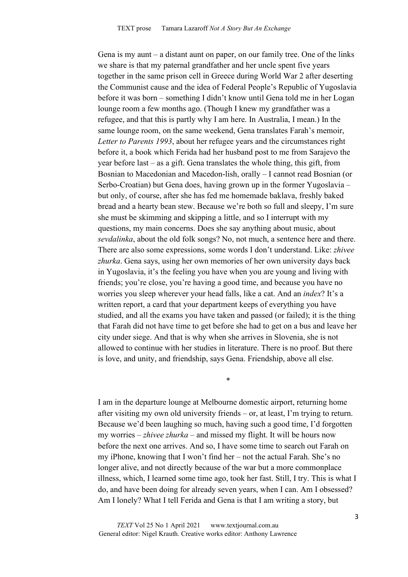Gena is my aunt – a distant aunt on paper, on our family tree. One of the links we share is that my paternal grandfather and her uncle spent five years together in the same prison cell in Greece during World War 2 after deserting the Communist cause and the idea of Federal People's Republic of Yugoslavia before it was born – something I didn't know until Gena told me in her Logan lounge room a few months ago. (Though I knew my grandfather was a refugee, and that this is partly why I am here. In Australia, I mean.) In the same lounge room, on the same weekend, Gena translates Farah's memoir, *Letter to Parents 1993*, about her refugee years and the circumstances right before it, a book which Ferida had her husband post to me from Sarajevo the year before last – as a gift. Gena translates the whole thing, this gift, from Bosnian to Macedonian and Macedon-lish, orally – I cannot read Bosnian (or Serbo-Croatian) but Gena does, having grown up in the former Yugoslavia – but only, of course, after she has fed me homemade baklava, freshly baked bread and a hearty bean stew. Because we're both so full and sleepy, I'm sure she must be skimming and skipping a little, and so I interrupt with my questions, my main concerns. Does she say anything about music, about *sevdalinka*, about the old folk songs? No, not much, a sentence here and there. There are also some expressions, some words I don't understand. Like: *zhivee zhurka*. Gena says, using her own memories of her own university days back in Yugoslavia, it's the feeling you have when you are young and living with friends; you're close, you're having a good time, and because you have no worries you sleep wherever your head falls, like a cat. And an *index*? It's a written report, a card that your department keeps of everything you have studied, and all the exams you have taken and passed (or failed); it is the thing that Farah did not have time to get before she had to get on a bus and leave her city under siege. And that is why when she arrives in Slovenia, she is not allowed to continue with her studies in literature. There is no proof. But there is love, and unity, and friendship, says Gena. Friendship, above all else.

I am in the departure lounge at Melbourne domestic airport, returning home after visiting my own old university friends – or, at least, I'm trying to return. Because we'd been laughing so much, having such a good time, I'd forgotten my worries – *zhivee zhurka* – and missed my flight. It will be hours now before the next one arrives. And so, I have some time to search out Farah on my iPhone, knowing that I won't find her – not the actual Farah. She's no longer alive, and not directly because of the war but a more commonplace illness, which, I learned some time ago, took her fast. Still, I try. This is what I do, and have been doing for already seven years, when I can. Am I obsessed? Am I lonely? What I tell Ferida and Gena is that I am writing a story, but

\*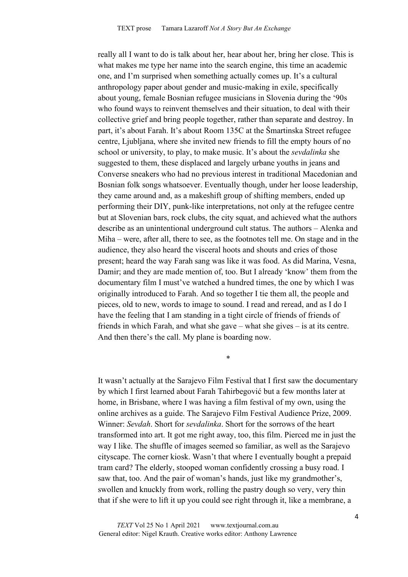really all I want to do is talk about her, hear about her, bring her close. This is what makes me type her name into the search engine, this time an academic one, and I'm surprised when something actually comes up. It's a cultural anthropology paper about gender and music-making in exile, specifically about young, female Bosnian refugee musicians in Slovenia during the '90s who found ways to reinvent themselves and their situation, to deal with their collective grief and bring people together, rather than separate and destroy. In part, it's about Farah. It's about Room 135C at the Šmartinska Street refugee centre, Ljubljana, where she invited new friends to fill the empty hours of no school or university, to play, to make music. It's about the *sevdalinka* she suggested to them, these displaced and largely urbane youths in jeans and Converse sneakers who had no previous interest in traditional Macedonian and Bosnian folk songs whatsoever. Eventually though, under her loose leadership, they came around and, as a makeshift group of shifting members, ended up performing their DIY, punk-like interpretations, not only at the refugee centre but at Slovenian bars, rock clubs, the city squat, and achieved what the authors describe as an unintentional underground cult status. The authors – Alenka and Miha – were, after all, there to see, as the footnotes tell me. On stage and in the audience, they also heard the visceral hoots and shouts and cries of those present; heard the way Farah sang was like it was food. As did Marina, Vesna, Damir; and they are made mention of, too. But I already 'know' them from the documentary film I must've watched a hundred times, the one by which I was originally introduced to Farah. And so together I tie them all, the people and pieces, old to new, words to image to sound. I read and reread, and as I do I have the feeling that I am standing in a tight circle of friends of friends of friends in which Farah, and what she gave – what she gives – is at its centre. And then there's the call. My plane is boarding now.

It wasn't actually at the Sarajevo Film Festival that I first saw the documentary by which I first learned about Farah Tahirbegović but a few months later at home, in Brisbane, where I was having a film festival of my own, using the online archives as a guide. The Sarajevo Film Festival Audience Prize, 2009. Winner: *Sevdah*. Short for *sevdalinka*. Short for the sorrows of the heart transformed into art. It got me right away, too, this film. Pierced me in just the way I like. The shuffle of images seemed so familiar, as well as the Sarajevo cityscape. The corner kiosk. Wasn't that where I eventually bought a prepaid tram card? The elderly, stooped woman confidently crossing a busy road. I saw that, too. And the pair of woman's hands, just like my grandmother's, swollen and knuckly from work, rolling the pastry dough so very, very thin that if she were to lift it up you could see right through it, like a membrane, a

\*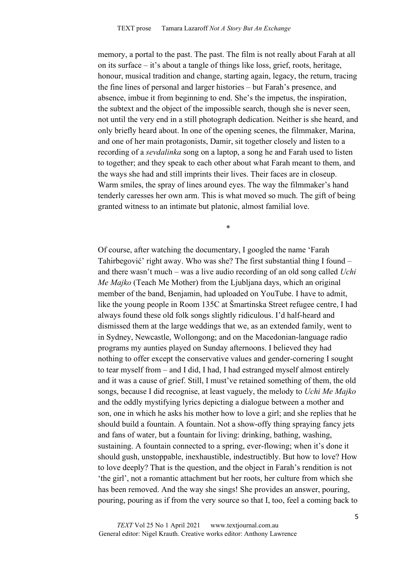memory, a portal to the past. The past. The film is not really about Farah at all on its surface – it's about a tangle of things like loss, grief, roots, heritage, honour, musical tradition and change, starting again, legacy, the return, tracing the fine lines of personal and larger histories – but Farah's presence, and absence, imbue it from beginning to end. She's the impetus, the inspiration, the subtext and the object of the impossible search, though she is never seen, not until the very end in a still photograph dedication. Neither is she heard, and only briefly heard about. In one of the opening scenes, the filmmaker, Marina, and one of her main protagonists, Damir, sit together closely and listen to a recording of a *sevdalinka* song on a laptop, a song he and Farah used to listen to together; and they speak to each other about what Farah meant to them, and the ways she had and still imprints their lives. Their faces are in closeup. Warm smiles, the spray of lines around eyes. The way the filmmaker's hand tenderly caresses her own arm. This is what moved so much. The gift of being granted witness to an intimate but platonic, almost familial love.

\*

Of course, after watching the documentary, I googled the name 'Farah Tahirbegović' right away. Who was she? The first substantial thing I found – and there wasn't much – was a live audio recording of an old song called *Uchi Me Majko* (Teach Me Mother) from the Ljubljana days, which an original member of the band, Benjamin, had uploaded on YouTube. I have to admit, like the young people in Room 135C at Šmartinska Street refugee centre, I had always found these old folk songs slightly ridiculous. I'd half-heard and dismissed them at the large weddings that we, as an extended family, went to in Sydney, Newcastle, Wollongong; and on the Macedonian-language radio programs my aunties played on Sunday afternoons. I believed they had nothing to offer except the conservative values and gender-cornering I sought to tear myself from – and I did, I had, I had estranged myself almost entirely and it was a cause of grief. Still, I must've retained something of them, the old songs, because I did recognise, at least vaguely, the melody to *Uchi Me Majko*  and the oddly mystifying lyrics depicting a dialogue between a mother and son, one in which he asks his mother how to love a girl; and she replies that he should build a fountain. A fountain. Not a show-offy thing spraying fancy jets and fans of water, but a fountain for living: drinking, bathing, washing, sustaining. A fountain connected to a spring, ever-flowing; when it's done it should gush, unstoppable, inexhaustible, indestructibly. But how to love? How to love deeply? That is the question, and the object in Farah's rendition is not 'the girl', not a romantic attachment but her roots, her culture from which she has been removed. And the way she sings! She provides an answer, pouring, pouring, pouring as if from the very source so that I, too, feel a coming back to